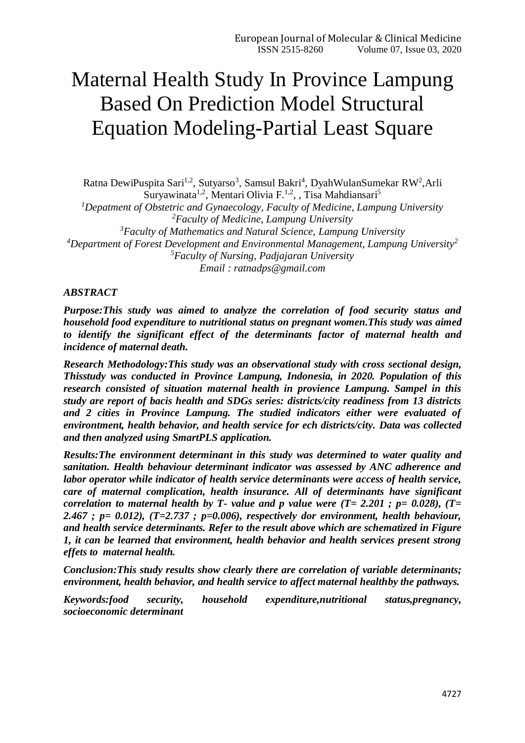# Maternal Health Study In Province Lampung Based On Prediction Model Structural Equation Modeling-Partial Least Square

Ratna DewiPuspita Sari<sup>1,2</sup>, Sutyarso<sup>3</sup>, Samsul Bakri<sup>4</sup>, DyahWulanSumekar RW<sup>2</sup>,Arli Suryawinata<sup>1,2</sup>, Mentari Olivia F.<sup>1,2</sup>, , Tisa Mahdiansari<sup>5</sup>

*<sup>1</sup>Depatment of Obstetric and Gynaecology, Faculty of Medicine, Lampung University <sup>2</sup>Faculty of Medicine, Lampung University*

*Faculty of Mathematics and Natural Science, Lampung University Department of Forest Development and Environmental Management, Lampung University<sup>2</sup> Faculty of Nursing, Padjajaran University Email : [ratnadps@gmail.com](mailto:ratnadps@gmail.com)*

#### *ABSTRACT*

*Purpose:This study was aimed to analyze the correlation of food security status and household food expenditure to nutritional status on pregnant women.This study was aimed to identify the significant effect of the determinants factor of maternal health and incidence of maternal death.*

*Research Methodology:This study was an observational study with cross sectional design, Thisstudy was conducted in Province Lampung, Indonesia, in 2020. Population of this research consisted of situation maternal health in provience Lampung. Sampel in this study are report of bacis health and SDGs series: districts/city readiness from 13 districts and 2 cities in Province Lampung. The studied indicators either were evaluated of environtment, health behavior, and health service for ech districts/city. Data was collected and then analyzed using SmartPLS application.* 

*Results:The environment determinant in this study was determined to water quality and sanitation. Health behaviour determinant indicator was assessed by ANC adherence and labor operator while indicator of health service determinants were access of health service, care of maternal complication, health insurance. All of determinants have significant correlation to maternal health by T- value and p value were (T= 2.201 ; p= 0.028), (T= 2.467 ; p= 0.012), (T=2.737 ; p=0.006), respectively dor environment, health behaviour, and health service determinants. Refer to the result above which are schematized in Figure 1, it can be learned that environment, health behavior and health services present strong effets to maternal health.*

*Conclusion:This study results show clearly there are correlation of variable determinants; environment, health behavior, and health service to affect maternal healthby the pathways.*

*Keywords:food security, household expenditure,nutritional status,pregnancy, socioeconomic determinant*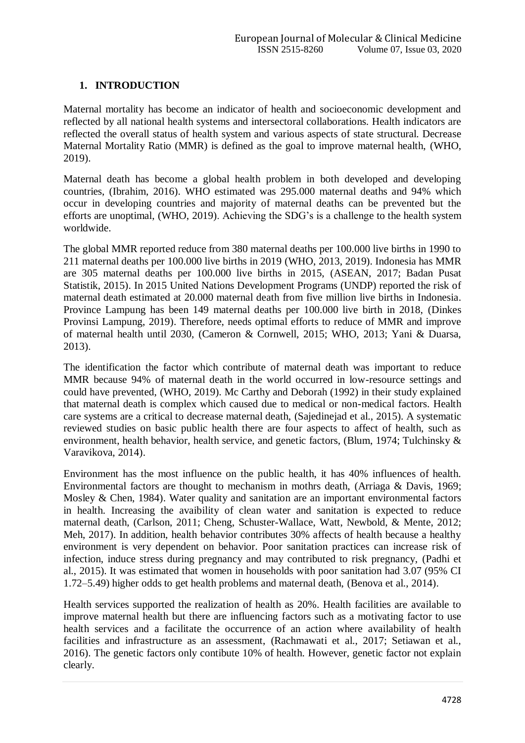# **1. INTRODUCTION**

Maternal mortality has become an indicator of health and socioeconomic development and reflected by all national health systems and intersectoral collaborations. Health indicators are reflected the overall status of health system and various aspects of state structural. Decrease Maternal Mortality Ratio (MMR) is defined as the goal to improve maternal health, (WHO, 2019).

Maternal death has become a global health problem in both developed and developing countries, (Ibrahim, 2016). WHO estimated was 295.000 maternal deaths and 94% which occur in developing countries and majority of maternal deaths can be prevented but the efforts are unoptimal, (WHO, 2019). Achieving the SDG's is a challenge to the health system worldwide.

The global MMR reported reduce from 380 maternal deaths per 100.000 live births in 1990 to 211 maternal deaths per 100.000 live births in 2019 (WHO, 2013, 2019). Indonesia has MMR are 305 maternal deaths per 100.000 live births in 2015, (ASEAN, 2017; Badan Pusat Statistik, 2015). In 2015 United Nations Development Programs (UNDP) reported the risk of maternal death estimated at 20.000 maternal death from five million live births in Indonesia. Province Lampung has been 149 maternal deaths per 100.000 live birth in 2018, (Dinkes Provinsi Lampung, 2019). Therefore, needs optimal efforts to reduce of MMR and improve of maternal health until 2030, (Cameron & Cornwell, 2015; WHO, 2013; Yani & Duarsa, 2013).

The identification the factor which contribute of maternal death was important to reduce MMR because 94% of maternal death in the world occurred in low-resource settings and could have prevented, (WHO, 2019). Mc Carthy and Deborah (1992) in their study explained that maternal death is complex which caused due to medical or non-medical factors. Health care systems are a critical to decrease maternal death, (Sajedinejad et al., 2015). A systematic reviewed studies on basic public health there are four aspects to affect of health, such as environment, health behavior, health service, and genetic factors, (Blum, 1974; Tulchinsky & Varavikova, 2014).

Environment has the most influence on the public health, it has 40% influences of health. Environmental factors are thought to mechanism in mothrs death, (Arriaga & Davis, 1969; Mosley & Chen, 1984). Water quality and sanitation are an important environmental factors in health. Increasing the avaibility of clean water and sanitation is expected to reduce maternal death, (Carlson, 2011; Cheng, Schuster-Wallace, Watt, Newbold, & Mente, 2012; Meh, 2017). In addition, health behavior contributes 30% affects of health because a healthy environment is very dependent on behavior. Poor sanitation practices can increase risk of infection, induce stress during pregnancy and may contributed to risk pregnancy, (Padhi et al., 2015). It was estimated that women in households with poor sanitation had 3.07 (95% CI 1.72–5.49) higher odds to get health problems and maternal death, (Benova et al., 2014).

Health services supported the realization of health as 20%. Health facilities are available to improve maternal health but there are influencing factors such as a motivating factor to use health services and a facilitate the occurrence of an action where availability of health facilities and infrastructure as an assessment, (Rachmawati et al., 2017; Setiawan et al., 2016). The genetic factors only contibute 10% of health. However, genetic factor not explain clearly.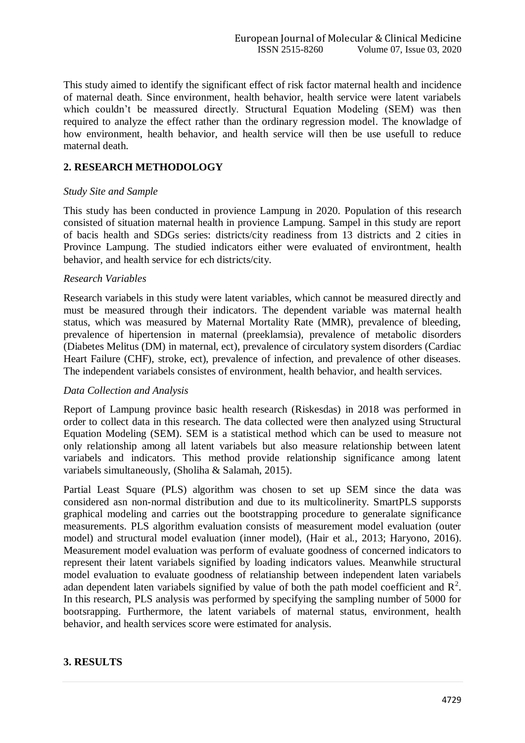This study aimed to identify the significant effect of risk factor maternal health and incidence of maternal death. Since environment, health behavior, health service were latent variabels which couldn't be meassured directly. Structural Equation Modeling (SEM) was then required to analyze the effect rather than the ordinary regression model. The knowladge of how environment, health behavior, and health service will then be use usefull to reduce maternal death.

# **2. RESEARCH METHODOLOGY**

## *Study Site and Sample*

This study has been conducted in provience Lampung in 2020. Population of this research consisted of situation maternal health in provience Lampung. Sampel in this study are report of bacis health and SDGs series: districts/city readiness from 13 districts and 2 cities in Province Lampung. The studied indicators either were evaluated of environtment, health behavior, and health service for ech districts/city.

## *Research Variables*

Research variabels in this study were latent variables, which cannot be measured directly and must be measured through their indicators. The dependent variable was maternal health status, which was measured by Maternal Mortality Rate (MMR), prevalence of bleeding, prevalence of hipertension in maternal (preeklamsia), prevalence of metabolic disorders (Diabetes Melitus (DM) in maternal, ect), prevalence of circulatory system disorders (Cardiac Heart Failure (CHF), stroke, ect), prevalence of infection, and prevalence of other diseases. The independent variabels consistes of environment, health behavior, and health services.

# *Data Collection and Analysis*

Report of Lampung province basic health research (Riskesdas) in 2018 was performed in order to collect data in this research. The data collected were then analyzed using Structural Equation Modeling (SEM). SEM is a statistical method which can be used to measure not only relationship among all latent variabels but also measure relationship between latent variabels and indicators. This method provide relationship significance among latent variabels simultaneously, (Sholiha & Salamah, 2015).

Partial Least Square (PLS) algorithm was chosen to set up SEM since the data was considered asn non-normal distribution and due to its multicolinerity. SmartPLS supporsts graphical modeling and carries out the bootstrapping procedure to generalate significance measurements. PLS algorithm evaluation consists of measurement model evaluation (outer model) and structural model evaluation (inner model), (Hair et al., 2013; Haryono, 2016). Measurement model evaluation was perform of evaluate goodness of concerned indicators to represent their latent variabels signified by loading indicators values. Meanwhile structural model evaluation to evaluate goodness of relatianship between independent laten variabels adan dependent laten variabels signified by value of both the path model coefficient and  $\mathbb{R}^2$ . In this research, PLS analysis was performed by specifying the sampling number of 5000 for bootsrapping. Furthermore, the latent variabels of maternal status, environment, health behavior, and health services score were estimated for analysis.

# **3. RESULTS**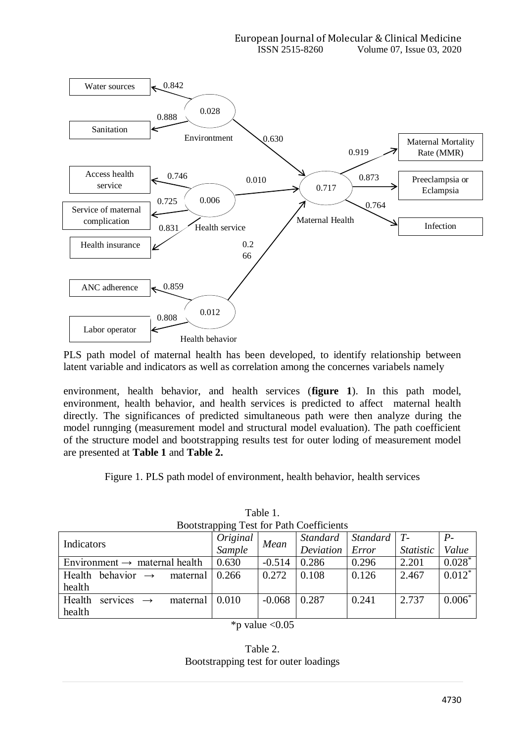

PLS path model of maternal health has been developed, to identify relationship between latent variable and indicators as well as correlation among the concernes variabels namely

environment, health behavior, and health services (**figure 1**). In this path model, environment, health behavior, and health services is predicted to affect maternal health directly. The significances of predicted simultaneous path were then analyze during the model runnging (measurement model and structural model evaluation). The path coefficient of the structure model and bootstrapping results test for outer loding of measurement model are presented at **Table 1** and **Table 2.**

Figure 1. PLS path model of environment, health behavior, health services

| Bootstrapping Test for Path Coefficients        |          |          |                   |       |                  |           |  |  |  |  |
|-------------------------------------------------|----------|----------|-------------------|-------|------------------|-----------|--|--|--|--|
| Indicators                                      | Original | Mean     | Standard Standard |       | $T$ -            | $P_{-}$   |  |  |  |  |
|                                                 | Sample   |          | Deviation         | Error | <i>Statistic</i> | Value     |  |  |  |  |
| Environment $\rightarrow$ maternal health       | 0.630    | $-0.514$ | 0.286             | 0.296 | 2.201            | $0.028*$  |  |  |  |  |
| behavior $\rightarrow$<br>Health<br>maternal    | 0.266    | 0.272    | 0.108             | 0.126 | 2.467            | $0.012^*$ |  |  |  |  |
| health                                          |          |          |                   |       |                  |           |  |  |  |  |
| services<br>Health<br>maternal<br>$\rightarrow$ | 0.010    | $-0.068$ | 0.287             | 0.241 | 2.737            | $0.006^*$ |  |  |  |  |
| health                                          |          |          |                   |       |                  |           |  |  |  |  |

| Table 1.                               |  |
|----------------------------------------|--|
| ootstranning Test for Path Coefficient |  |

 $*$ p value < $0.05$ 

Table 2. Bootstrapping test for outer loadings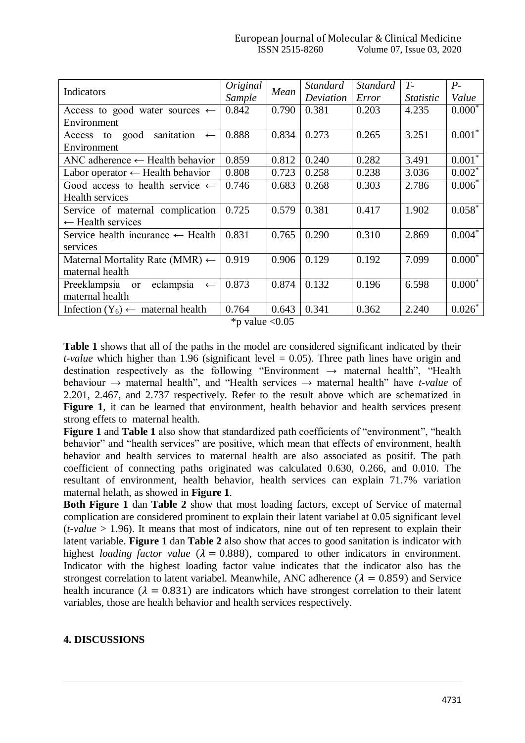| Indicators                                   | <i>Original</i> | Mean  | <b>Standard</b><br>Deviation | <b>Standard</b> | $T-$<br><b>Statistic</b> | $P-$     |
|----------------------------------------------|-----------------|-------|------------------------------|-----------------|--------------------------|----------|
|                                              | Sample          |       |                              | Error           |                          | Value    |
| Access to good water sources $\leftarrow$    | 0.842           | 0.790 | 0.381                        | 0.203           | 4.235                    | $0.000*$ |
| Environment                                  |                 |       |                              |                 |                          |          |
| sanitation<br>Access to good<br>$\leftarrow$ | 0.888           | 0.834 | 0.273                        | 0.265           | 3.251                    | $0.001*$ |
| Environment                                  |                 |       |                              |                 |                          |          |
| ANC adherence $\leftarrow$ Health behavior   | 0.859           | 0.812 | 0.240                        | 0.282           | 3.491                    | $0.001*$ |
| Labor operator $\leftarrow$ Health behavior  | 0.808           | 0.723 | 0.258                        | 0.238           | 3.036                    | $0.002*$ |
| Good access to health service $\leftarrow$   | 0.746           | 0.683 | 0.268                        | 0.303           | 2.786                    | $0.006*$ |
| <b>Health services</b>                       |                 |       |                              |                 |                          |          |
| Service of maternal complication             | 0.725           | 0.579 | 0.381                        | 0.417           | 1.902                    | $0.058*$ |
| $\leftarrow$ Health services                 |                 |       |                              |                 |                          |          |
| Service health incurance $\leftarrow$ Health | 0.831           | 0.765 | 0.290                        | 0.310           | 2.869                    | $0.004*$ |
| services                                     |                 |       |                              |                 |                          |          |
| Maternal Mortality Rate (MMR) $\leftarrow$   | 0.919           | 0.906 | 0.129                        | 0.192           | 7.099                    | $0.000*$ |
| maternal health                              |                 |       |                              |                 |                          |          |
| Preeklampsia or<br>eclampsia<br>$\leftarrow$ | 0.873           | 0.874 | 0.132                        | 0.196           | 6.598                    | $0.000*$ |
| maternal health                              |                 |       |                              |                 |                          |          |
| Infection $(Y_6) \leftarrow$ maternal health | 0.764           | 0.643 | 0.341                        | 0.362           | 2.240                    | $0.026*$ |

\*p value  $< 0.05$ 

**Table 1** shows that all of the paths in the model are considered significant indicated by their *t-value* which higher than 1.96 (significant level = 0.05). Three path lines have origin and destination respectively as the following "Environment  $\rightarrow$  maternal health", "Health behaviour → maternal health", and "Health services → maternal health" have *t-value* of 2.201, 2.467, and 2.737 respectively. Refer to the result above which are schematized in Figure 1, it can be learned that environment, health behavior and health services present strong effets to maternal health.

**Figure 1** and **Table 1** also show that standardized path coefficients of "environment", "health behavior" and "health services" are positive, which mean that effects of environment, health behavior and health services to maternal health are also associated as positif. The path coefficient of connecting paths originated was calculated 0.630, 0.266, and 0.010. The resultant of environment, health behavior, health services can explain 71.7% variation maternal helath, as showed in **Figure 1**.

**Both Figure 1** dan **Table 2** show that most loading factors, except of Service of maternal complication are considered prominent to explain their latent variabel at 0.05 significant level (*t-value* > 1.96). It means that most of indicators, nine out of ten represent to explain their latent variable. **Figure 1** dan **Table 2** also show that acces to good sanitation is indicator with highest *loading factor value* ( $\lambda = 0.888$ ), compared to other indicators in environment. Indicator with the highest loading factor value indicates that the indicator also has the strongest correlation to latent variabel. Meanwhile, ANC adherence ( $\lambda = 0.859$ ) and Service health incurance ( $\lambda = 0.831$ ) are indicators which have strongest correlation to their latent variables, those are health behavior and health services respectively.

# **4. DISCUSSIONS**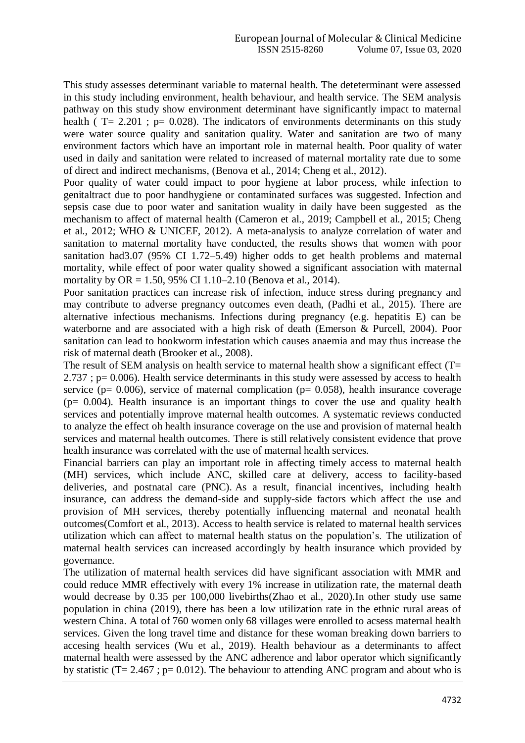This study assesses determinant variable to maternal health. The deteterminant were assessed in this study including environment, health behaviour, and health service. The SEM analysis pathway on this study show environment determinant have significantly impact to maternal health (  $T = 2.201$  ;  $p = 0.028$ ). The indicators of environments determinants on this study were water source quality and sanitation quality. Water and sanitation are two of many environment factors which have an important role in maternal health. Poor quality of water used in daily and sanitation were related to increased of maternal mortality rate due to some of direct and indirect mechanisms, (Benova et al., 2014; Cheng et al., 2012).

Poor quality of water could impact to poor hygiene at labor process, while infection to genitaltract due to poor handhygiene or contaminated surfaces was suggested. Infection and sepsis case due to poor water and sanitation wuality in daily have been suggested as the mechanism to affect of maternal health (Cameron et al., 2019; Campbell et al., 2015; Cheng et al., 2012; WHO & UNICEF, 2012). A meta-analysis to analyze correlation of water and sanitation to maternal mortality have conducted, the results shows that women with poor sanitation had3.07 (95% CI 1.72–5.49) higher odds to get health problems and maternal mortality, while effect of poor water quality showed a significant association with maternal mortality by OR = 1.50, 95% CI 1.10–2.10 (Benova et al., 2014).

Poor sanitation practices can increase risk of infection, induce stress during pregnancy and may contribute to adverse pregnancy outcomes even death, (Padhi et al., 2015). There are alternative infectious mechanisms. Infections during pregnancy (e.g. hepatitis E) can be waterborne and are associated with a high risk of death (Emerson & Purcell, 2004). Poor sanitation can lead to hookworm infestation which causes anaemia and may thus increase the risk of maternal death (Brooker et al., 2008).

The result of SEM analysis on health service to maternal health show a significant effect  $(T=$ 2.737; p= 0.006). Health service determinants in this study were assessed by access to health service ( $p= 0.006$ ), service of maternal complication ( $p= 0.058$ ), health insurance coverage  $(p= 0.004)$ . Health insurance is an important things to cover the use and quality health services and potentially improve maternal health outcomes. A systematic reviews conducted to analyze the effect oh health insurance coverage on the use and provision of maternal health services and maternal health outcomes. There is still relatively consistent evidence that prove health insurance was correlated with the use of maternal health services.

Financial barriers can play an important role in affecting timely access to maternal health (MH) services, which include ANC, skilled care at delivery, access to facility-based deliveries, and postnatal care (PNC). As a result, financial incentives, including health insurance, can address the demand-side and supply-side factors which affect the use and provision of MH services, thereby potentially influencing maternal and neonatal health outcomes(Comfort et al., 2013). Access to health service is related to maternal health services utilization which can affect to maternal health status on the population's. The utilization of maternal health services can increased accordingly by health insurance which provided by governance.

The utilization of maternal health services did have significant association with MMR and could reduce MMR effectively with every 1% increase in utilization rate, the maternal death would decrease by 0.35 per 100,000 livebirths(Zhao et al., 2020).In other study use same population in china (2019), there has been a low utilization rate in the ethnic rural areas of western China. A total of 760 women only 68 villages were enrolled to acsess maternal health services. Given the long travel time and distance for these woman breaking down barriers to accesing health services (Wu et al., 2019). Health behaviour as a determinants to affect maternal health were assessed by the ANC adherence and labor operator which significantly by statistic (T= 2.467 ;  $p= 0.012$ ). The behaviour to attending ANC program and about who is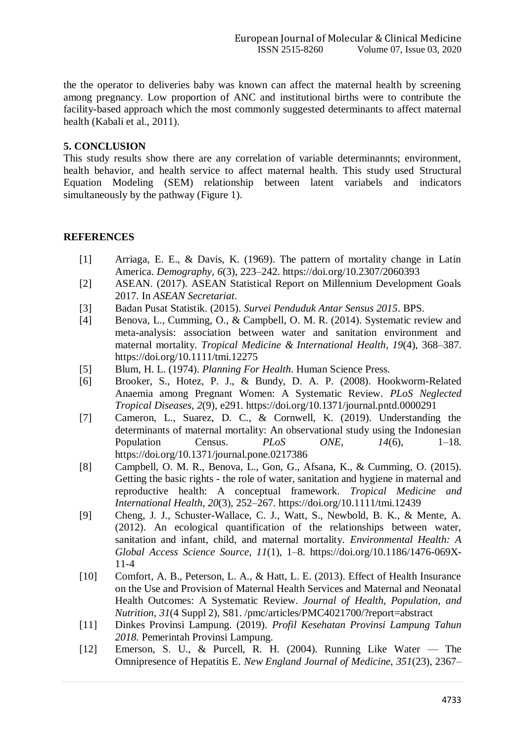the the operator to deliveries baby was known can affect the maternal health by screening among pregnancy. Low proportion of ANC and institutional births were to contribute the facility-based approach which the most commonly suggested determinants to affect maternal health (Kabali et al., 2011).

## **5. CONCLUSION**

This study results show there are any correlation of variable determinannts; environment, health behavior, and health service to affect maternal health. This study used Structural Equation Modeling (SEM) relationship between latent variabels and indicators simultaneously by the pathway (Figure 1).

## **REFERENCES**

- [1] Arriaga, E. E., & Davis, K. (1969). The pattern of mortality change in Latin America. *Demography*, *6*(3), 223–242. https://doi.org/10.2307/2060393
- [2] ASEAN. (2017). ASEAN Statistical Report on Millennium Development Goals 2017. In *ASEAN Secretariat*.
- [3] Badan Pusat Statistik. (2015). *Survei Penduduk Antar Sensus 2015*. BPS.
- [4] Benova, L., Cumming, O., & Campbell, O. M. R. (2014). Systematic review and meta-analysis: association between water and sanitation environment and maternal mortality. *Tropical Medicine & International Health*, *19*(4), 368–387. https://doi.org/10.1111/tmi.12275
- [5] Blum, H. L. (1974). *Planning For Health*. Human Science Press.
- [6] Brooker, S., Hotez, P. J., & Bundy, D. A. P. (2008). Hookworm-Related Anaemia among Pregnant Women: A Systematic Review. *PLoS Neglected Tropical Diseases*, *2*(9), e291. https://doi.org/10.1371/journal.pntd.0000291
- [7] Cameron, L., Suarez, D. C., & Cornwell, K. (2019). Understanding the determinants of maternal mortality: An observational study using the Indonesian Population Census. *PLoS ONE*,  $14(6)$ , 1–18. https://doi.org/10.1371/journal.pone.0217386
- [8] Campbell, O. M. R., Benova, L., Gon, G., Afsana, K., & Cumming, O. (2015). Getting the basic rights - the role of water, sanitation and hygiene in maternal and reproductive health: A conceptual framework. *Tropical Medicine and International Health*, *20*(3), 252–267. https://doi.org/10.1111/tmi.12439
- [9] Cheng, J. J., Schuster-Wallace, C. J., Watt, S., Newbold, B. K., & Mente, A. (2012). An ecological quantification of the relationships between water, sanitation and infant, child, and maternal mortality. *Environmental Health: A Global Access Science Source*, *11*(1), 1–8. https://doi.org/10.1186/1476-069X-11-4
- [10] Comfort, A. B., Peterson, L. A., & Hatt, L. E. (2013). Effect of Health Insurance on the Use and Provision of Maternal Health Services and Maternal and Neonatal Health Outcomes: A Systematic Review. *Journal of Health, Population, and Nutrition*, *31*(4 Suppl 2), S81. /pmc/articles/PMC4021700/?report=abstract
- [11] Dinkes Provinsi Lampung. (2019). *Profil Kesehatan Provinsi Lampung Tahun 2018*. Pemerintah Provinsi Lampung.
- [12] Emerson, S. U., & Purcell, R. H. (2004). Running Like Water The Omnipresence of Hepatitis E. *New England Journal of Medicine*, *351*(23), 2367–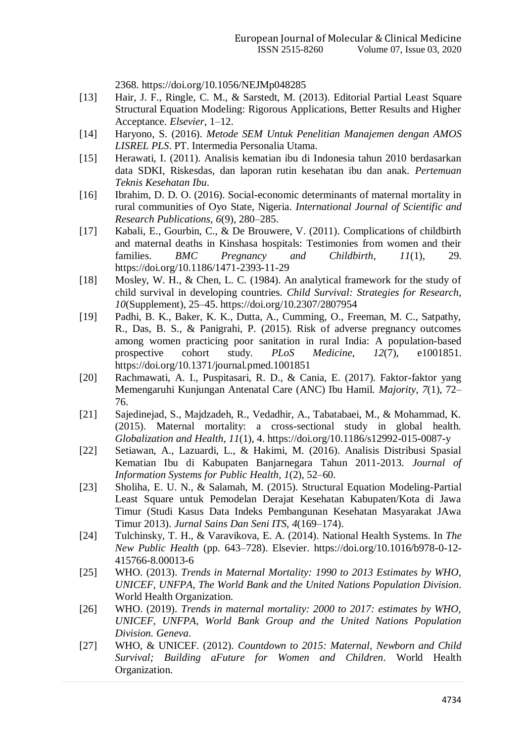2368. https://doi.org/10.1056/NEJMp048285

- [13] Hair, J. F., Ringle, C. M., & Sarstedt, M. (2013). Editorial Partial Least Square Structural Equation Modeling: Rigorous Applications, Better Results and Higher Acceptance. *Elsevier*, 1–12.
- [14] Haryono, S. (2016). *Metode SEM Untuk Penelitian Manajemen dengan AMOS LISREL PLS*. PT. Intermedia Personalia Utama.
- [15] Herawati, I. (2011). Analisis kematian ibu di Indonesia tahun 2010 berdasarkan data SDKI, Riskesdas, dan laporan rutin kesehatan ibu dan anak. *Pertemuan Teknis Kesehatan Ibu*.
- [16] Ibrahim, D. D. O. (2016). Social-economic determinants of maternal mortality in rural communities of Oyo State, Nigeria. *International Journal of Scientific and Research Publications*, *6*(9), 280–285.
- [17] Kabali, E., Gourbin, C., & De Brouwere, V. (2011). Complications of childbirth and maternal deaths in Kinshasa hospitals: Testimonies from women and their families. *BMC Pregnancy and Childbirth*, *11*(1), 29. https://doi.org/10.1186/1471-2393-11-29
- [18] Mosley, W. H., & Chen, L. C. (1984). An analytical framework for the study of child survival in developing countries. *Child Survival: Strategies for Research*, *10*(Supplement), 25–45. https://doi.org/10.2307/2807954
- [19] Padhi, B. K., Baker, K. K., Dutta, A., Cumming, O., Freeman, M. C., Satpathy, R., Das, B. S., & Panigrahi, P. (2015). Risk of adverse pregnancy outcomes among women practicing poor sanitation in rural India: A population-based prospective cohort study. *PLoS Medicine*, *12*(7), e1001851. https://doi.org/10.1371/journal.pmed.1001851
- [20] Rachmawati, A. I., Puspitasari, R. D., & Cania, E. (2017). Faktor-faktor yang Memengaruhi Kunjungan Antenatal Care (ANC) Ibu Hamil. *Majority*, *7*(1), 72– 76.
- [21] Sajedinejad, S., Majdzadeh, R., Vedadhir, A., Tabatabaei, M., & Mohammad, K. (2015). Maternal mortality: a cross-sectional study in global health. *Globalization and Health*, *11*(1), 4. https://doi.org/10.1186/s12992-015-0087-y
- [22] Setiawan, A., Lazuardi, L., & Hakimi, M. (2016). Analisis Distribusi Spasial Kematian Ibu di Kabupaten Banjarnegara Tahun 2011-2013. *Journal of Information Systems for Public Health*, *1*(2), 52–60.
- [23] Sholiha, E. U. N., & Salamah, M. (2015). Structural Equation Modeling-Partial Least Square untuk Pemodelan Derajat Kesehatan Kabupaten/Kota di Jawa Timur (Studi Kasus Data Indeks Pembangunan Kesehatan Masyarakat JAwa Timur 2013). *Jurnal Sains Dan Seni ITS*, *4*(169–174).
- [24] Tulchinsky, T. H., & Varavikova, E. A. (2014). National Health Systems. In *The New Public Health* (pp. 643–728). Elsevier. https://doi.org/10.1016/b978-0-12- 415766-8.00013-6
- [25] WHO. (2013). *Trends in Maternal Mortality: 1990 to 2013 Estimates by WHO, UNICEF, UNFPA, The World Bank and the United Nations Population Division*. World Health Organization.
- [26] WHO. (2019). *Trends in maternal mortality: 2000 to 2017: estimates by WHO, UNICEF, UNFPA, World Bank Group and the United Nations Population Division. Geneva*.
- [27] WHO, & UNICEF. (2012). *Countdown to 2015: Maternal, Newborn and Child Survival; Building aFuture for Women and Children*. World Health Organization.